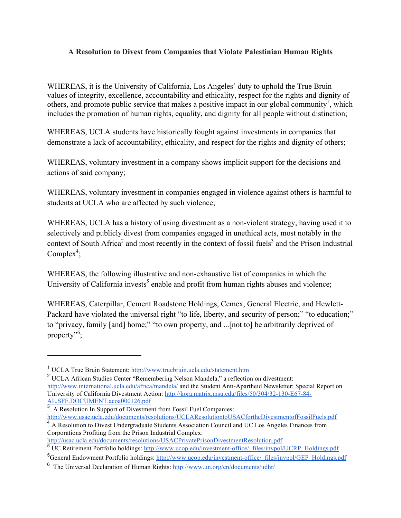## **A Resolution to Divest from Companies that Violate Palestinian Human Rights**

WHEREAS, it is the University of California, Los Angeles' duty to uphold the True Bruin values of integrity, excellence, accountability and ethicality, respect for the rights and dignity of others, and promote public service that makes a positive impact in our global community<sup>1</sup>, which includes the promotion of human rights, equality, and dignity for all people without distinction;

WHEREAS, UCLA students have historically fought against investments in companies that demonstrate a lack of accountability, ethicality, and respect for the rights and dignity of others;

WHEREAS, voluntary investment in a company shows implicit support for the decisions and actions of said company;

WHEREAS, voluntary investment in companies engaged in violence against others is harmful to students at UCLA who are affected by such violence;

WHEREAS, UCLA has a history of using divestment as a non-violent strategy, having used it to selectively and publicly divest from companies engaged in unethical acts, most notably in the context of South Africa<sup>2</sup> and most recently in the context of fossil fuels<sup>3</sup> and the Prison Industrial Complex<sup>4</sup>;

WHEREAS, the following illustrative and non-exhaustive list of companies in which the University of California invests<sup>5</sup> enable and profit from human rights abuses and violence;

WHEREAS, Caterpillar, Cement Roadstone Holdings, Cemex, General Electric, and Hewlett-Packard have violated the universal right "to life, liberty, and security of person;" "to education;" to "privacy, family [and] home;" "to own property, and ...[not to] be arbitrarily deprived of property"<sup>6</sup>;

 $\overline{a}$ 

<sup>1</sup> UCLA True Bruin Statement: http://www.truebruin.ucla.edu/statement.htm

<sup>2</sup> UCLA African Studies Center "Remembering Nelson Mandela," a reflection on divestment: http://www.international.ucla.edu/africa/mandela/ and the Student Anti-Apartheid Newsletter: Special Report on University of California Divestment Action: http://kora.matrix.msu.edu/files/50/304/32-130-E67-84- AL.SFF.DOCUMENT.acoa000126.pdf<br>
3 A Basel C

<sup>3</sup> A Resolution In Support of Divestment from Fossil Fuel Companies: http://www.usac.ucla.edu/documents/resolutions/UCLAResolutiontoUSACfortheDivestmentofFossilFuels.pdf

<sup>&</sup>lt;sup>4</sup> A Resolution to Divest Undergraduate Students Association Council and UC Los Angeles Finances from Corporations Profiting from the Prison Industrial Complex:

http://usac.ucla.edu/documents/resolutions/USACPrivatePrisonDivestmentResolution.pdf

<sup>&</sup>lt;sup>5</sup> UC Retirement Portfolio holdings: http://www.ucop.edu/investment-office/\_files/invpol/UCRP\_Holdings.pdf <sup>5</sup>General Endowment Portfolio holdings: http://www.ucop.edu/investment-office/\_files/invpol/GEP\_Holdings.pdf

<sup>6</sup> The Universal Declaration of Human Rights: http://www.un.org/en/documents/udhr/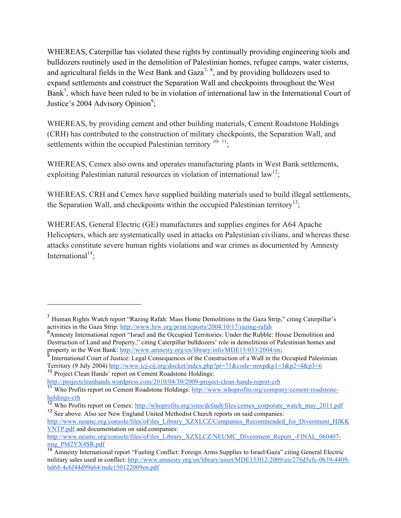WHEREAS, Caterpillar has violated these rights by continually providing engineering tools and bulldozers routinely used in the demolition of Palestinian homes, refugee camps, water cisterns, and agricultural fields in the West Bank and Gaza<sup>7-8</sup>, and by providing bulldozers used to expand settlements and construct the Separation Wall and checkpoints throughout the West Bank<sup>7</sup>, which have been ruled to be in violation of international law in the International Court of Justice's 2004 Advisory Opinion<sup>9</sup>;

WHEREAS, by providing cement and other building materials, Cement Roadstone Holdings (CRH) has contributed to the construction of military checkpoints, the Separation Wall, and settlements within the occupied Palestinian territory <sup>10-11</sup>:

WHEREAS, Cemex also owns and operates manufacturing plants in West Bank settlements, exploiting Palestinian natural resources in violation of international  $law^{12}$ ;

WHEREAS, CRH and Cemex have supplied building materials used to build illegal settlements, the Separation Wall, and checkpoints within the occupied Palestinian territory<sup>13</sup>;

WHEREAS, General Electric (GE) manufactures and supplies engines for A64 Apache Helicopters, which are systematically used in attacks on Palestinian civilians, and whereas these attacks constitute severe human rights violations and war crimes as documented by Amnesty International<sup>14</sup>;

http://projectcleanhands.wordpress.com/2010/04/30/2009-project-clean-hands-report-crh

 $\overline{a}$ 

<sup>7</sup> Human Rights Watch report "Razing Rafah: Mass Home Demolitions in the Gaza Strip," citing Caterpillar's activities in the Gaza Strip: http://www.hrw.org/print/reports/2004/10/17/razing-rafah

<sup>&</sup>lt;sup>8</sup> Amnesty International report "Israel and the Occupied Territories: Under the Rubble: House Demolition and Destruction of Land and Property," citing Caterpillar bulldozers' role in demolitions of Palestinian homes and property in the West Bank: http://www.amnesty.org/en/library/info/MDE15/033/2004/en;

<sup>9</sup> International Court of Justice: Legal Consequences of the Construction of a Wall in the Occupied Palestinian Territory (9 July 2004) http://www.icj-cij.org/docket/index.php?pr=71&code=mwp&p1=3&p2=4&p3=6 <sup>10</sup> Project Clean Hands' report on Cement Roadstone Holdings:

<sup>&</sup>lt;sup>11</sup> Who Profits report on Cement Roadstone Holdings: http://www.whoprofits.org/company/cement-roadstoneholdings-crh

<sup>&</sup>lt;sup>12</sup> Who Profits report on Cemex: http://whoprofits.org/sites/default/files/cemex\_corporate\_watch\_may\_2011.pdf <sup>13</sup> See above. Also see New England United Methodist Church reports on said companies:

http://www.neumc.org/console/files/oFiles\_Library\_XZXLCZ/Companies\_Recommended\_for\_Divestment\_HJKK VNTP.pdf and documentation on said companies:

http://www.neumc.org/console/files/oFiles\_Library\_XZXLCZ/NEUMC\_Divestment\_Report\_-FINAL\_060407img\_PM2YX4SR.pdf

<sup>&</sup>lt;sup>14</sup> Amnesty International report "Fueling Conflict: Foreign Arms Supplies to Israel/Gaza" citing General Electric military sales used in conflict: http://www.amnesty.org/en/library/asset/MDE15/012/2009/en/278d5cfc-0b39-4409 bd68-4c6f44d99a64/mde150122009en.pdf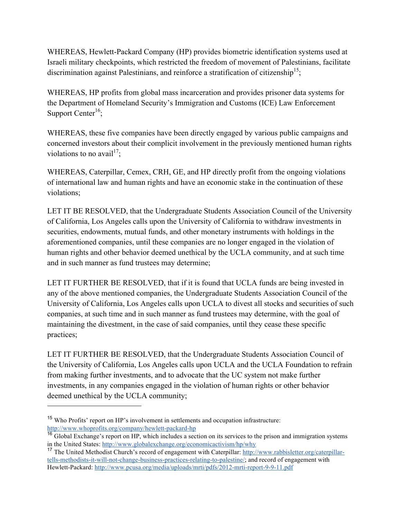WHEREAS, Hewlett-Packard Company (HP) provides biometric identification systems used at Israeli military checkpoints, which restricted the freedom of movement of Palestinians, facilitate discrimination against Palestinians, and reinforce a stratification of citizenship<sup>15</sup>;

WHEREAS, HP profits from global mass incarceration and provides prisoner data systems for the Department of Homeland Security's Immigration and Customs (ICE) Law Enforcement Support Center<sup>16</sup>;

WHEREAS, these five companies have been directly engaged by various public campaigns and concerned investors about their complicit involvement in the previously mentioned human rights violations to no avail<sup>17</sup>;

WHEREAS, Caterpillar, Cemex, CRH, GE, and HP directly profit from the ongoing violations of international law and human rights and have an economic stake in the continuation of these violations;

LET IT BE RESOLVED, that the Undergraduate Students Association Council of the University of California, Los Angeles calls upon the University of California to withdraw investments in securities, endowments, mutual funds, and other monetary instruments with holdings in the aforementioned companies, until these companies are no longer engaged in the violation of human rights and other behavior deemed unethical by the UCLA community, and at such time and in such manner as fund trustees may determine;

LET IT FURTHER BE RESOLVED, that if it is found that UCLA funds are being invested in any of the above mentioned companies, the Undergraduate Students Association Council of the University of California, Los Angeles calls upon UCLA to divest all stocks and securities of such companies, at such time and in such manner as fund trustees may determine, with the goal of maintaining the divestment, in the case of said companies, until they cease these specific practices;

LET IT FURTHER BE RESOLVED, that the Undergraduate Students Association Council of the University of California, Los Angeles calls upon UCLA and the UCLA Foundation to refrain from making further investments, and to advocate that the UC system not make further investments, in any companies engaged in the violation of human rights or other behavior deemed unethical by the UCLA community;

 $\overline{a}$ 

<sup>&</sup>lt;sup>15</sup> Who Profits' report on HP's involvement in settlements and occupation infrastructure: http://www.whoprofits.org/company/hewlett-packard-hp

<sup>&</sup>lt;sup>16</sup> Global Exchange's report on HP, which includes a section on its services to the prison and immigration systems in the United States: http://www.globalexchange.org/economicactivism/hp/why

<sup>&</sup>lt;sup>17</sup> The United Methodist Church's record of engagement with Caterpillar: http://www.rabbisletter.org/caterpillartells-methodists-it-will-not-change-business-practices-relating-to-palestine/; and record of engagement with Hewlett-Packard: http://www.pcusa.org/media/uploads/mrti/pdfs/2012-mrti-report-9-9-11.pdf